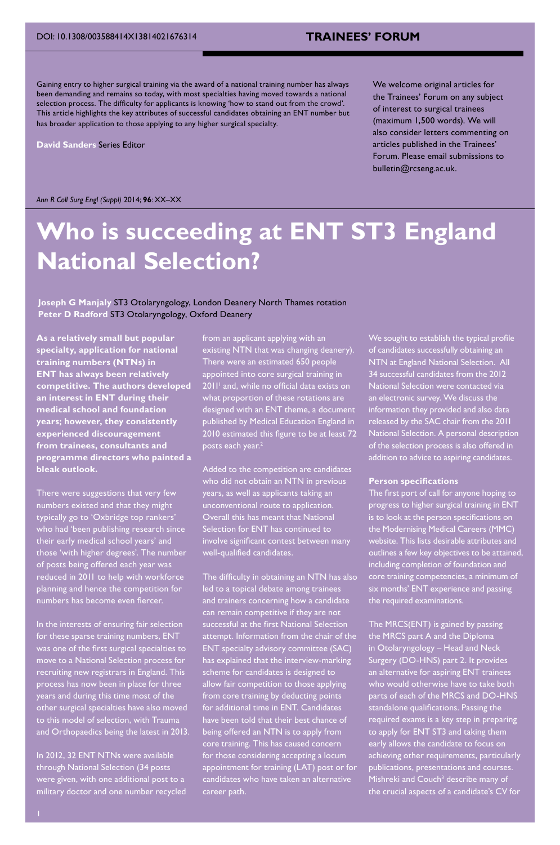## **TRAINEES' FORUM**

Gaining entry to higher surgical training via the award of a national training number has always been demanding and remains so today, with most specialties having moved towards a national selection process. The difficulty for applicants is knowing 'how to stand out from the crowd'. This article highlights the key attributes of successful candidates obtaining an ENT number but has broader application to those applying to any higher surgical specialty.

**David Sanders** Series Editor

We welcome original articles for the Trainees' Forum on any subject of interest to surgical trainees (maximum 1,500 words). We will also consider letters commenting on articles published in the Trainees' Forum. Please email submissions to bulletin@rcseng.ac.uk.

#### *Ann R Coll Surg Engl (Suppl)* 2014; **96**: XX–XX

# **Who is succeeding at ENT ST3 England National Selection?**

## **Joseph G Manjaly** ST3 Otolaryngology, London Deanery North Thames rotation **Peter D Radford** ST3 Otolaryngology, Oxford Deanery

**As a relatively small but popular specialty, application for national training numbers (NTNs) in ENT has always been relatively competitive. The authors developed an interest in ENT during their medical school and foundation years; however, they consistently experienced discouragement from trainees, consultants and programme directors who painted a bleak outlook.**

There were suggestions that very few numbers existed and that they might typically go to 'Oxbridge top rankers' who had 'been publishing research since their early medical school years' and those 'with higher degrees'. The number of posts being offered each year was reduced in 2011 to help with workforce planning and hence the competition for numbers has become even fiercer.

In the interests of ensuring fair selection for these sparse training numbers, ENT was one of the first surgical specialties to move to a National Selection process for recruiting new registrars in England. This process has now been in place for three years and during this time most of the other surgical specialties have also moved  $t$ his model of selection, with Trauma and Orthopaedics being the latest in 2013.

In 2012, 32 ENT NTNs were available through National Selection (34 posts were given, with one additional post to a military doctor and one number recycled from an applicant applying with an existing NTN that was changing deanery). There were an estimated 650 people appointed into core surgical training in 2011<sup>1</sup> and, while no official data exists on what proportion of these rotations are designed with an ENT theme, a document published by Medical Education England in .<br><u>201</u>0 estimated this figure to be at least 72 posts each year.<sup>2</sup>

Added to the competition are candidates who did not obtain an NTN in previous years, as well as applicants taking an unconventional route to application.  $\overline{\phantom{a}}$ rall this has meant that National ction for  $\mathsf{ENT}$  has continued to involve significant contest between many well-qualified candidates.

The difficulty in obtaining an NTN has also led to a topical debate among trainees and trainers concerning how a candidate can remain competitive if they are not successful at the first National Selection attempt. Information from the chair of the ENT specialty advisory committee (SAC) has explained that the interview-marking scheme for candidates is designed to allow fair competition to those applying from core training by deducting points for additional time in ENT. Candidates e been told that their best chance of being offered an NTN is to apply from core training. This has caused concern for those considering accepting a locum appointment for training (LAT) post or for candidates who have taken an alternative career path.

We sought to establish the typical profile of candidates successfully obtaining an NTN at England National Selection. All 34 successful candidates from the 2012 National Selection were contacted via an electronic survey. We discuss the information they provided and also data released by the SAC chair from the 2011 National Selection. A personal description of the selection process is also offered in addition to advice to aspiring candidates.

#### **Person specifications**

The first port of call for anyone hoping to progress to higher surgical training in ENT is to look at the person specifications on the Modernising Medical Careers (MMC) website. This lists desirable attributes an<mark>c</mark> outlines a few key objectives to be attained, including completion of foundation and core training competencies, a minimum of six months' ENT experience and passing the required examinations.

The MRCS(ENT) is gained by passing the MRCS part A and the Diploma in Otolaryngology – Head and Neck Surgery (DO-HNS) part 2. It provides an alternative for aspiring ENT trainees who would otherwise have to take both parts of each of the MRCS and DO-HNS standalone qualifications. Passing the required exams is a key step in preparing to apply for ENT ST3 and taking them early allows the candidate to focus on achieving other requirements, particularly publications, presentations and courses. Mishreki and Couch<sup>3</sup> describe many of the crucial aspects of a candidate's CV for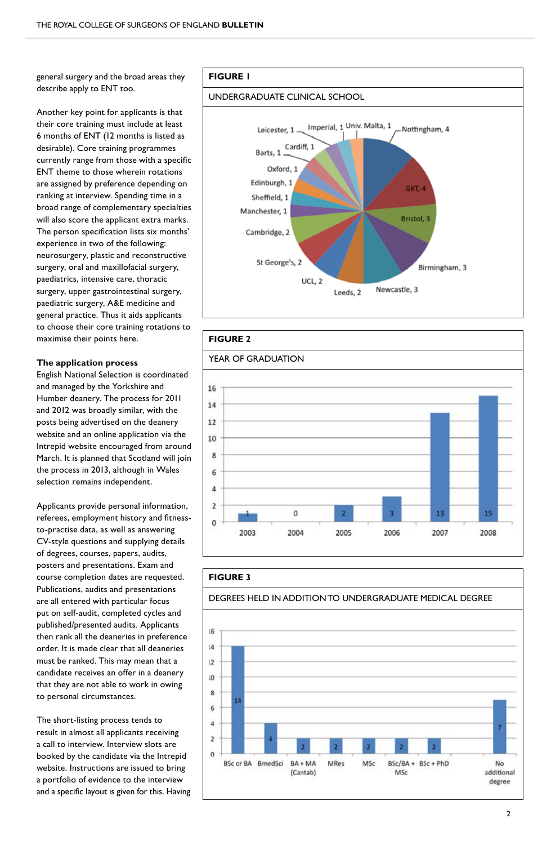general surgery and the broad areas they describe apply to ENT too.

Another key point for applicants is that their core training must include at least 6 months of ENT (12 months is listed as desirable). Core training programmes currently range from those with a specific ENT theme to those wherein rotations are assigned by preference depending on ranking at interview. Spending time in a broad range of complementary specialties will also score the applicant extra marks. The person specification lists six months' experience in two of the following: neurosurgery, plastic and reconstructive surgery, oral and maxillofacial surgery, paediatrics, intensive care, thoracic surgery, upper gastrointestinal surgery, paediatric surgery, A&E medicine and general practice. Thus it aids applicants to choose their core training rotations to maximise their points here.

#### **The application process**

English National Selection is coordinated and managed by the Yorkshire and Humber deanery. The process for 2011 and 2012 was broadly similar, with the posts being advertised on the deanery website and an online application via the Intrepid website encouraged from around March. It is planned that Scotland will join the process in 2013, although in Wales selection remains independent.

Applicants provide personal information, referees, employment history and fitnessto-practise data, as well as answering CV-style questions and supplying details of degrees, courses, papers, audits, posters and presentations. Exam and course completion dates are requested. Publications, audits and presentations are all entered with particular focus put on self-audit, completed cycles and published/presented audits. Applicants then rank all the deaneries in preference order. It is made clear that all deaneries must be ranked. This may mean that a candidate receives an offer in a deanery that they are not able to work in owing to personal circumstances.

The short-listing process tends to result in almost all applicants receiving a call to interview. Interview slots are booked by the candidate via the Intrepid website. Instructions are issued to bring a portfolio of evidence to the interview and a specific layout is given for this. Having

## **Figure 1**

## undergraduate clinical school





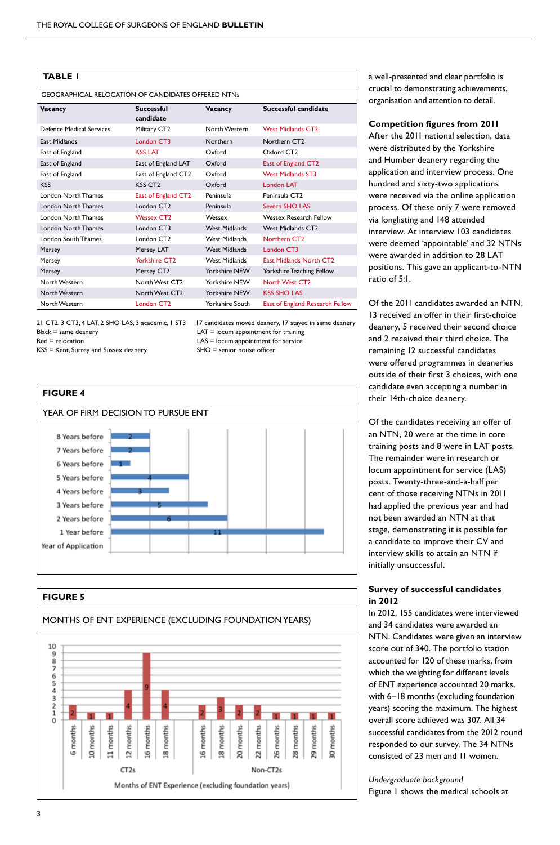| TABLE I                                                   |                            |                        |                                 |
|-----------------------------------------------------------|----------------------------|------------------------|---------------------------------|
| <b>GEOGRAPHICAL RELOCATION OF CANDIDATES OFFERED NTNs</b> |                            |                        |                                 |
| Vacancy                                                   | Successful<br>candidate    | Vacancy                | Successful candidate            |
| Defence Medical Services                                  | Military CT2               | North Western          | West Midlands CT <sub>2</sub>   |
| <b>East Midlands</b>                                      | London CT3                 | Northern               | Northern CT <sub>2</sub>        |
| East of England                                           | <b>KSS LAT</b>             | Oxford                 | Oxford CT <sub>2</sub>          |
| East of England                                           | East of England LAT        | Oxford                 | East of England CT2             |
| East of England                                           | East of England CT2        | Oxford                 | <b>West Midlands ST3</b>        |
| <b>KSS</b>                                                | KSS CT <sub>2</sub>        | Oxford                 | <b>London LAT</b>               |
| <b>London North Thames</b>                                | East of England CT2        | Peninsula              | Peninsula CT <sub>2</sub>       |
| <b>London North Thames</b>                                | London CT <sub>2</sub>     | Peninsula              | Severn SHO LAS                  |
| <b>London North Thames</b>                                | <b>Wessex CT2</b>          | Wessex                 | <b>Wessex Research Fellow</b>   |
| <b>London North Thames</b>                                | London CT3                 | <b>West Midlands</b>   | <b>West Midlands CT2</b>        |
| London South Thames                                       | London CT <sub>2</sub>     | <b>West Midlands</b>   | Northern CT <sub>2</sub>        |
| Mersey                                                    | Mersey LAT                 | <b>West Midlands</b>   | London CT3                      |
| Mersey                                                    | <b>Yorkshire CT2</b>       | <b>West Midlands</b>   | <b>East Midlands North CT2</b>  |
| Mersey                                                    | Mersey CT2                 | Yorkshire NEW          | Yorkshire Teaching Fellow       |
| North Western                                             | North West CT <sub>2</sub> | Yorkshire NFW          | North West CT <sub>2</sub>      |
| North Western                                             | North West CT <sub>2</sub> | Yorkshire NEW          | <b>KSS SHO LAS</b>              |
| North Western                                             | London CT <sub>2</sub>     | <b>Yorkshire South</b> | East of England Research Fellow |

21 CT2, 3 CT3, 4 LAT, 2 SHO LAS, 3 academic, 1 ST3 17 candidates moved deanery, 17 stayed in same deanery Black = same deanery example and the UAT = locum appointment for training<br>Red = relocation example and the UAS = locum appointment for service

 $KSS =$  Kent, Surrey and Sussex deanery

 $LAS = locum$  appointment for service<br> $SHO =$  senior house officer





a well-presented and clear portfolio is crucial to demonstrating achievements, organisation and attention to detail.

## **Competition figures from 2011**

After the 2011 national selection, data were distributed by the Yorkshire and Humber deanery regarding the application and interview process. One hundred and sixty-two applications were received via the online application process. Of these only 7 were removed via longlisting and 148 attended interview. At interview 103 candidates were deemed 'appointable' and 32 NTNs were awarded in addition to 28 LAT positions. This gave an applicant-to-NTN ratio of 5:1.

Of the 2011 candidates awarded an NTN, 13 received an offer in their first-choice deanery, 5 received their second choice and 2 received their third choice. The remaining 12 successful candidates were offered programmes in deaneries outside of their first 3 choices, with one candidate even accepting a number in their 14th-choice deanery.

Of the candidates receiving an offer of an NTN, 20 were at the time in core training posts and 8 were in LAT posts. The remainder were in research or locum appointment for service (LAS) posts. Twenty-three-and-a-half per cent of those receiving NTNs in 2011 had applied the previous year and had not been awarded an NTN at that stage, demonstrating it is possible for a candidate to improve their CV and interview skills to attain an NTN if initially unsuccessful.

## **Survey of successful candidates in 2012**

In 2012, 155 candidates were interviewed and 34 candidates were awarded an NTN. Candidates were given an interview score out of 340. The portfolio station accounted for 120 of these marks, from which the weighting for different levels of ENT experience accounted 20 marks, with 6–18 months (excluding foundation years) scoring the maximum. The highest overall score achieved was 307. All 34 successful candidates from the 2012 round responded to our survey. The 34 NTNs consisted of 23 men and 11 women.

*Undergraduate background* Figure 1 shows the medical schools at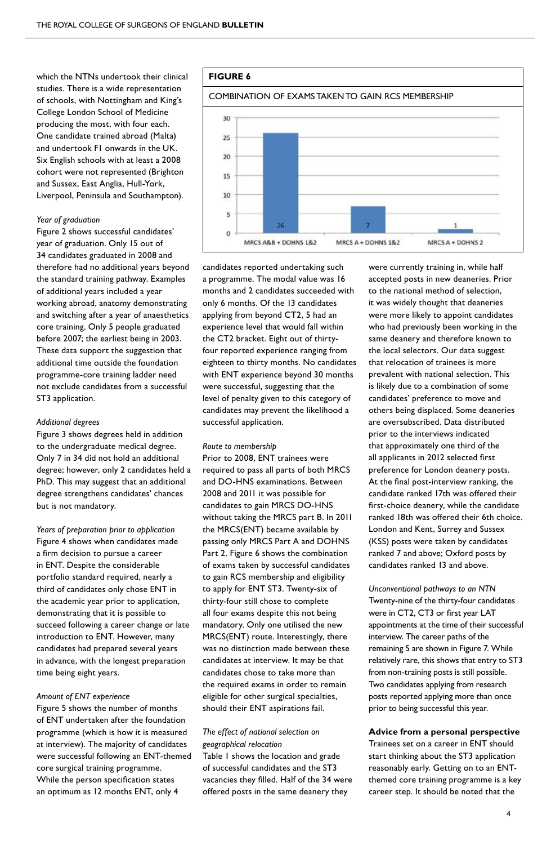which the NTNs undertook their clinical studies. There is a wide representation of schools, with Nottingham and King's College London School of Medicine producing the most, with four each. One candidate trained abroad (Malta) and undertook F1 onwards in the UK. Six English schools with at least a 2008 cohort were not represented (Brighton and Sussex, East Anglia, Hull-York, Liverpool, Peninsula and Southampton).

#### *Year of graduation*

Figure 2 shows successful candidates' year of graduation. Only 15 out of 34 candidates graduated in 2008 and therefore had no additional years beyond the standard training pathway. Examples of additional years included a year working abroad, anatomy demonstrating and switching after a year of anaesthetics core training. Only 5 people graduated before 2007; the earliest being in 2003. These data support the suggestion that additional time outside the foundation programme-core training ladder need not exclude candidates from a successful ST3 application.

#### *Additional degrees*

Figure 3 shows degrees held in addition to the undergraduate medical degree. Only 7 in 34 did not hold an additional degree; however, only 2 candidates held a PhD. This may suggest that an additional degree strengthens candidates' chances but is not mandatory.

*Years of preparation prior to application* Figure 4 shows when candidates made a firm decision to pursue a career in ENT. Despite the considerable portfolio standard required, nearly a third of candidates only chose ENT in the academic year prior to application, demonstrating that it is possible to succeed following a career change or late introduction to ENT. However, many candidates had prepared several years in advance, with the longest preparation time being eight years.

## *Amount of ENT experience*

Figure 5 shows the number of months of ENT undertaken after the foundation programme (which is how it is measured at interview). The majority of candidates were successful following an ENT-themed core surgical training programme. While the person specification states an optimum as 12 months ENT, only 4



candidates reported undertaking such a programme. The modal value was 16 months and 2 candidates succeeded with only 6 months. Of the 13 candidates applying from beyond CT2, 5 had an experience level that would fall within the CT2 bracket. Eight out of thirtyfour reported experience ranging from eighteen to thirty months. No candidates with ENT experience beyond 30 months were successful, suggesting that the level of penalty given to this category of candidates may prevent the likelihood a successful application.

#### *Route to membership*

Prior to 2008, ENT trainees were required to pass all parts of both MRCS and DO-HNS examinations. Between 2008 and 2011 it was possible for candidates to gain MRCS DO-HNS without taking the MRCS part B. In 2011 the MRCS(ENT) became available by passing only MRCS Part A and DOHNS Part 2. Figure 6 shows the combination of exams taken by successful candidates to gain RCS membership and eligibility to apply for ENT ST3. Twenty-six of thirty-four still chose to complete all four exams despite this not being mandatory. Only one utilised the new MRCS(ENT) route. Interestingly, there was no distinction made between these candidates at interview. It may be that candidates chose to take more than the required exams in order to remain eligible for other surgical specialties, should their ENT aspirations fail.

## *The effect of national selection on geographical relocation*

Table 1 shows the location and grade of successful candidates and the ST3 vacancies they filled. Half of the 34 were offered posts in the same deanery they

were currently training in, while half accepted posts in new deaneries. Prior to the national method of selection, it was widely thought that deaneries were more likely to appoint candidates who had previously been working in the same deanery and therefore known to the local selectors. Our data suggest that relocation of trainees is more prevalent with national selection. This is likely due to a combination of some candidates' preference to move and others being displaced. Some deaneries are oversubscribed. Data distributed prior to the interviews indicated that approximately one third of the all applicants in 2012 selected first preference for London deanery posts. At the final post-interview ranking, the candidate ranked 17th was offered their first-choice deanery, while the candidate ranked 18th was offered their 6th choice. London and Kent, Surrey and Sussex (KSS) posts were taken by candidates ranked 7 and above; Oxford posts by candidates ranked 13 and above.

*Unconventional pathways to an NTN* Twenty-nine of the thirty-four candidates were in CT2, CT3 or first year LAT appointments at the time of their successful interview. The career paths of the remaining 5 are shown in Figure 7. While relatively rare, this shows that entry to ST3 from non-training posts is still possible. Two candidates applying from research posts reported applying more than once prior to being successful this year.

#### **Advice from a personal perspective**

Trainees set on a career in ENT should start thinking about the ST3 application reasonably early. Getting on to an ENTthemed core training programme is a key career step. It should be noted that the